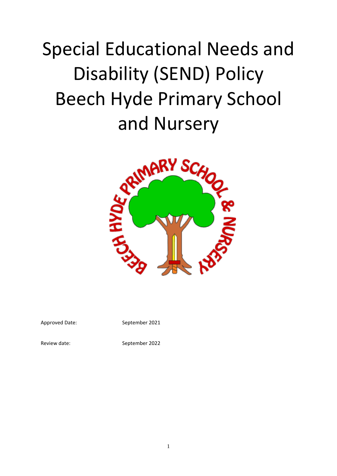# Special Educational Needs and Disability (SEND) Policy Beech Hyde Primary School



Approved Date: September 2021

Review date: September 2022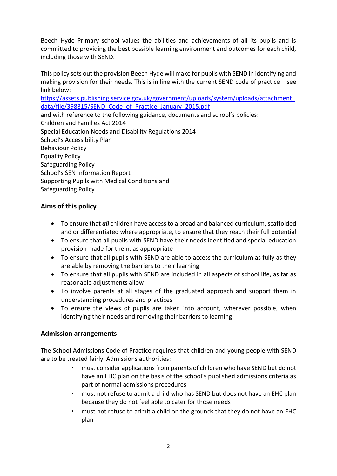Beech Hyde Primary school values the abilities and achievements of all its pupils and is committed to providing the best possible learning environment and outcomes for each child, including those with SEND.

This policy sets out the provision Beech Hyde will make for pupils with SEND in identifying and making provision for their needs. This is in line with the current SEND code of practice – see link below:

[https://assets.publishing.service.gov.uk/government/uploads/system/uploads/attachment\\_](https://assets.publishing.service.gov.uk/government/uploads/system/uploads/attachment_data/file/398815/SEND_Code_of_Practice_January_2015.pdf) data/file/398815/SEND Code of Practice January 2015.pdf

and with reference to the following guidance, documents and school's policies: Children and Families Act 2014 Special Education Needs and Disability Regulations 2014 School's Accessibility Plan Behaviour Policy Equality Policy Safeguarding Policy School's SEN Information Report Supporting Pupils with Medical Conditions and Safeguarding Policy

# **Aims of this policy**

- To ensure that *all* children have access to a broad and balanced curriculum, scaffolded and or differentiated where appropriate, to ensure that they reach their full potential
- To ensure that all pupils with SEND have their needs identified and special education provision made for them, as appropriate
- To ensure that all pupils with SEND are able to access the curriculum as fully as they are able by removing the barriers to their learning
- To ensure that all pupils with SEND are included in all aspects of school life, as far as reasonable adjustments allow
- To involve parents at all stages of the graduated approach and support them in understanding procedures and practices
- To ensure the views of pupils are taken into account, wherever possible, when identifying their needs and removing their barriers to learning

# **Admission arrangements**

The School Admissions Code of Practice requires that children and young people with SEND are to be treated fairly. Admissions authorities:

- must consider applications from parents of children who have SEND but do not have an EHC plan on the basis of the school's published admissions criteria as part of normal admissions procedures
- must not refuse to admit a child who has SEND but does not have an EHC plan because they do not feel able to cater for those needs
- must not refuse to admit a child on the grounds that they do not have an EHC plan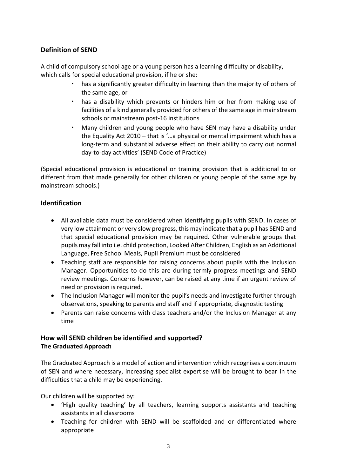# **Definition of SEND**

A child of compulsory school age or a young person has a learning difficulty or disability, which calls for special educational provision, if he or she:

- has a significantly greater difficulty in learning than the majority of others of the same age, or
- has a disability which prevents or hinders him or her from making use of facilities of a kind generally provided for others of the same age in mainstream schools or mainstream post-16 institutions
- Many children and young people who have SEN may have a disability under the Equality Act 2010 – that is '…a physical or mental impairment which has a long-term and substantial adverse effect on their ability to carry out normal day-to-day activities' (SEND Code of Practice)

(Special educational provision is educational or training provision that is additional to or different from that made generally for other children or young people of the same age by mainstream schools.)

# **Identification**

- All available data must be considered when identifying pupils with SEND. In cases of very low attainment or very slow progress, this may indicate that a pupil has SEND and that special educational provision may be required. Other vulnerable groups that pupils may fall into i.e. child protection, Looked After Children, English as an Additional Language, Free School Meals, Pupil Premium must be considered
- Teaching staff are responsible for raising concerns about pupils with the Inclusion Manager. Opportunities to do this are during termly progress meetings and SEND review meetings. Concerns however, can be raised at any time if an urgent review of need or provision is required.
- The Inclusion Manager will monitor the pupil's needs and investigate further through observations, speaking to parents and staff and if appropriate, diagnostic testing
- Parents can raise concerns with class teachers and/or the Inclusion Manager at any time

# **How will SEND children be identified and supported? The Graduated Approach**

The Graduated Approach is a model of action and intervention which recognises a continuum of SEN and where necessary, increasing specialist expertise will be brought to bear in the difficulties that a child may be experiencing.

Our children will be supported by:

- 'High quality teaching' by all teachers, learning supports assistants and teaching assistants in all classrooms
- Teaching for children with SEND will be scaffolded and or differentiated where appropriate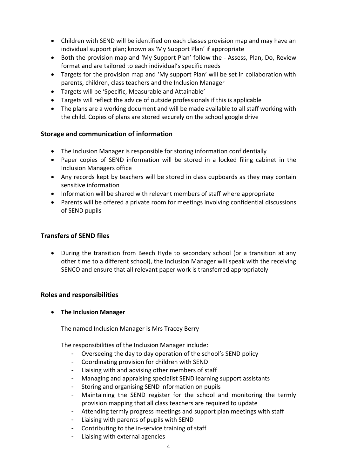- Children with SEND will be identified on each classes provision map and may have an individual support plan; known as 'My Support Plan' if appropriate
- Both the provision map and 'My Support Plan' follow the Assess, Plan, Do, Review format and are tailored to each individual's specific needs
- Targets for the provision map and 'My support Plan' will be set in collaboration with parents, children, class teachers and the Inclusion Manager
- Targets will be 'Specific, Measurable and Attainable'
- Targets will reflect the advice of outside professionals if this is applicable
- The plans are a working document and will be made available to all staff working with the child. Copies of plans are stored securely on the school google drive

### **Storage and communication of information**

- The Inclusion Manager is responsible for storing information confidentially
- Paper copies of SEND information will be stored in a locked filing cabinet in the Inclusion Managers office
- Any records kept by teachers will be stored in class cupboards as they may contain sensitive information
- Information will be shared with relevant members of staff where appropriate
- Parents will be offered a private room for meetings involving confidential discussions of SEND pupils

### **Transfers of SEND files**

 During the transition from Beech Hyde to secondary school (or a transition at any other time to a different school), the Inclusion Manager will speak with the receiving SENCO and ensure that all relevant paper work is transferred appropriately

### **Roles and responsibilities**

**The Inclusion Manager**

The named Inclusion Manager is Mrs Tracey Berry

The responsibilities of the Inclusion Manager include:

- Overseeing the day to day operation of the school's SEND policy
- Coordinating provision for children with SEND
- Liaising with and advising other members of staff
- Managing and appraising specialist SEND learning support assistants
- Storing and organising SEND information on pupils
- Maintaining the SEND register for the school and monitoring the termly provision mapping that all class teachers are required to update
- Attending termly progress meetings and support plan meetings with staff
- Liaising with parents of pupils with SEND
- Contributing to the in-service training of staff
- Liaising with external agencies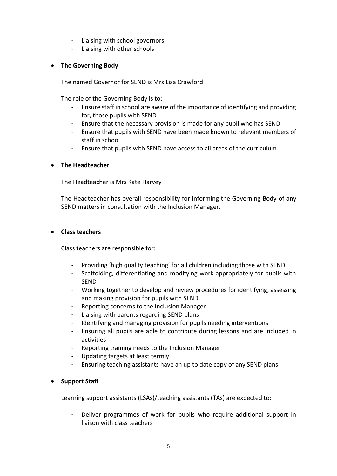- Liaising with school governors
- Liaising with other schools

# **The Governing Body**

The named Governor for SEND is Mrs Lisa Crawford

The role of the Governing Body is to:

- Ensure staff in school are aware of the importance of identifying and providing for, those pupils with SEND
- Ensure that the necessary provision is made for any pupil who has SEND
- Ensure that pupils with SEND have been made known to relevant members of staff in school
- Ensure that pupils with SEND have access to all areas of the curriculum

### **The Headteacher**

The Headteacher is Mrs Kate Harvey

The Headteacher has overall responsibility for informing the Governing Body of any SEND matters in consultation with the Inclusion Manager.

#### **Class teachers**

Class teachers are responsible for:

- Providing 'high quality teaching' for all children including those with SEND
- Scaffolding, differentiating and modifying work appropriately for pupils with SEND
- Working together to develop and review procedures for identifying, assessing and making provision for pupils with SEND
- Reporting concerns to the Inclusion Manager
- Liaising with parents regarding SEND plans
- Identifying and managing provision for pupils needing interventions
- Ensuring all pupils are able to contribute during lessons and are included in activities
- Reporting training needs to the Inclusion Manager
- Updating targets at least termly
- Ensuring teaching assistants have an up to date copy of any SEND plans

### **•** Support Staff

Learning support assistants (LSAs)/teaching assistants (TAs) are expected to:

Deliver programmes of work for pupils who require additional support in liaison with class teachers